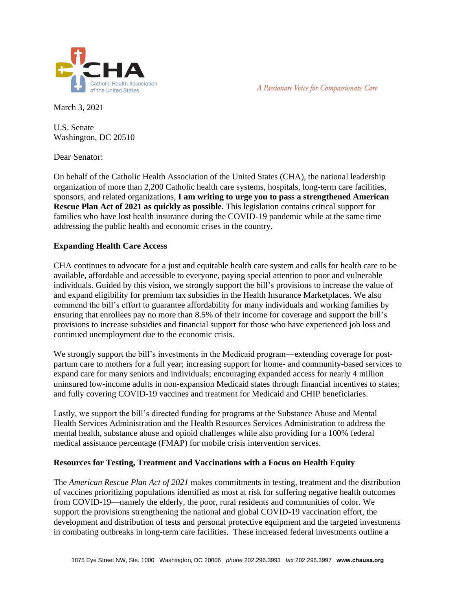A Passionate Voice for Compassionate Care



March 3, 2021

U.S. Senate Washington, DC 20510

Dear Senator:

On behalf of the Catholic Health Association of the United States (CHA), the national leadership organization of more than 2,200 Catholic health care systems, hospitals, long-term care facilities, sponsors, and related organizations, **I am writing to urge you to pass a strengthened American Rescue Plan Act of 2021 as quickly as possible.** This legislation contains critical support for families who have lost health insurance during the COVID-19 pandemic while at the same time addressing the public health and economic crises in the country.

## **Expanding Health Care Access**

CHA continues to advocate for a just and equitable health care system and calls for health care to be available, affordable and accessible to everyone, paying special attention to poor and vulnerable individuals. Guided by this vision, we strongly support the bill's provisions to increase the value of and expand eligibility for premium tax subsidies in the Health Insurance Marketplaces. We also commend the bill's effort to guarantee affordability for many individuals and working families by ensuring that enrollees pay no more than 8.5% of their income for coverage and support the bill's provisions to increase subsidies and financial support for those who have experienced job loss and continued unemployment due to the economic crisis.

We strongly support the bill's investments in the Medicaid program—extending coverage for postpartum care to mothers for a full year; increasing support for home- and community-based services to expand care for many seniors and individuals; encouraging expanded access for nearly 4 million uninsured low-income adults in non-expansion Medicaid states through financial incentives to states; and fully covering COVID-19 vaccines and treatment for Medicaid and CHIP beneficiaries.

Lastly, we support the bill's directed funding for programs at the Substance Abuse and Mental Health Services Administration and the Health Resources Services Administration to address the mental health, substance abuse and opioid challenges while also providing for a 100% federal medical assistance percentage (FMAP) for mobile crisis intervention services.

## **Resources for Testing, Treatment and Vaccinations with a Focus on Health Equity**

The *American Rescue Plan Act of 2021* makes commitments in testing, treatment and the distribution of vaccines prioritizing populations identified as most at risk for suffering negative health outcomes from COVID-19—namely the elderly, the poor, rural residents and communities of color. We support the provisions strengthening the national and global COVID-19 vaccination effort, the development and distribution of tests and personal protective equipment and the targeted investments in combating outbreaks in long-term care facilities. These increased federal investments outline a